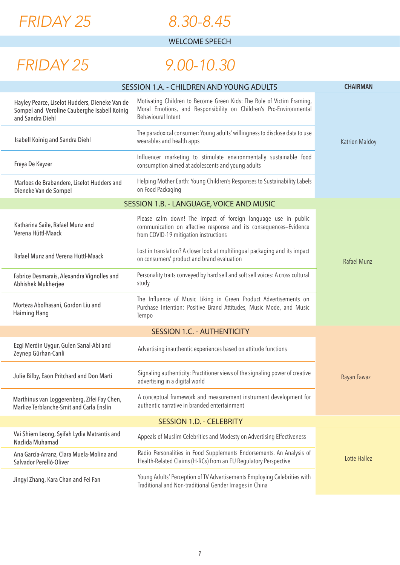

#### *8.30-8.45*

WELCOME SPEECH

## *FRIDAY 25*

## *9.00-10.30*

| SESSION 1.A. - CHILDREN AND YOUNG ADULTS                                                                           | <b>CHAIRMAN</b>                                                                                                                                                              |                       |
|--------------------------------------------------------------------------------------------------------------------|------------------------------------------------------------------------------------------------------------------------------------------------------------------------------|-----------------------|
| Hayley Pearce, Liselot Hudders, Dieneke Van de<br>Sompel and Veroline Cauberghe Isabell Koinig<br>and Sandra Diehl | Motivating Children to Become Green Kids: The Role of Victim Framing,<br>Moral Emotions, and Responsibility on Children's Pro-Environmental<br>Behavioural Intent            |                       |
| <b>Isabell Koinig and Sandra Diehl</b>                                                                             | The paradoxical consumer: Young adults' willingness to disclose data to use<br>wearables and health apps                                                                     | <b>Katrien Maldoy</b> |
| Freya De Keyzer                                                                                                    | Influencer marketing to stimulate environmentally sustainable food<br>consumption aimed at adolescents and young adults                                                      |                       |
| Marloes de Brabandere, Liselot Hudders and<br>Dieneke Van de Sompel                                                | Helping Mother Earth: Young Children's Responses to Sustainability Labels<br>on Food Packaging                                                                               |                       |
|                                                                                                                    | SESSION 1.B. - LANGUAGE, VOICE AND MUSIC                                                                                                                                     |                       |
| Katharina Saile, Rafael Munz and<br>Verena Hüttl-Maack                                                             | Please calm down! The impact of foreign language use in public<br>communication on affective response and its consequences-Evidence<br>from COVID-19 mitigation instructions |                       |
| Rafael Munz and Verena Hüttl-Maack                                                                                 | Lost in translation? A closer look at multilingual packaging and its impact<br>on consumers' product and brand evaluation                                                    | Rafael Munz           |
| Fabrice Desmarais, Alexandra Vignolles and<br>Abhishek Mukherjee                                                   | Personality traits conveyed by hard sell and soft sell voices: A cross cultural<br>study                                                                                     |                       |
| Morteza Abolhasani, Gordon Liu and<br><b>Haiming Hang</b>                                                          | The Influence of Music Liking in Green Product Advertisements on<br>Purchase Intention: Positive Brand Attitudes, Music Mode, and Music<br>Tempo                             |                       |
|                                                                                                                    | <b>SESSION 1.C. - AUTHENTICITY</b>                                                                                                                                           |                       |
| Ezgi Merdin Uygur, Gulen Sarıal-Abi and<br>Zeynep Gürhan-Canli                                                     | Advertising inauthentic experiences based on attitude functions                                                                                                              |                       |
| Julie Bilby, Eaon Pritchard and Don Marti                                                                          | Signaling authenticity: Practitioner views of the signaling power of creative<br>advertising in a digital world                                                              | Rayan Fawaz           |
| Marthinus van Loggerenberg, Zifei Fay Chen,<br>Marlize Terblanche-Smit and Carla Enslin                            | A conceptual framework and measurement instrument development for<br>authentic narrative in branded entertainment                                                            |                       |
| <b>SESSION 1.D. - CELEBRITY</b>                                                                                    |                                                                                                                                                                              |                       |
| Vai Shiem Leong, Syifah Lydia Matrantis and<br>Nazlida Muhamad                                                     | Appeals of Muslim Celebrities and Modesty on Advertising Effectiveness                                                                                                       |                       |
| Ana García-Arranz, Clara Muela-Molina and<br>Salvador Perelló-Oliver                                               | Radio Personalities in Food Supplements Endorsements. An Analysis of<br>Health-Related Claims (H-RCs) from an EU Regulatory Perspective                                      | <b>Lotte Hallez</b>   |
| Jingyi Zhang, Kara Chan and Fei Fan                                                                                | Young Adults' Perception of TV Advertisements Employing Celebrities with<br>Traditional and Non-traditional Gender Images in China                                           |                       |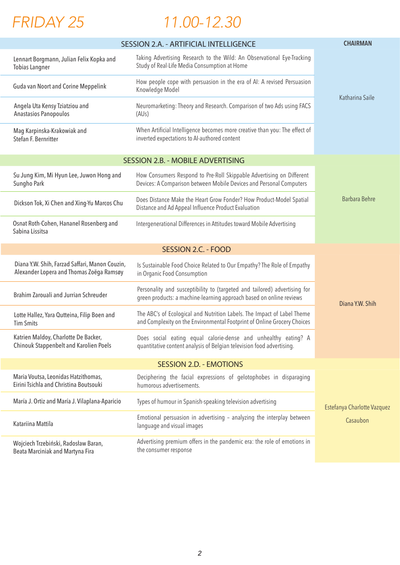

# *11.00-12.30*

|                                                                                            | SESSION 2.A. - ARTIFICIAL INTELLIGENCE                                                                                                             | <b>CHAIRMAN</b>             |
|--------------------------------------------------------------------------------------------|----------------------------------------------------------------------------------------------------------------------------------------------------|-----------------------------|
| Lennart Borgmann, Julian Felix Kopka and<br><b>Tobias Langner</b>                          | Taking Advertising Research to the Wild: An Observational Eye-Tracking<br>Study of Real-Life Media Consumption at Home                             |                             |
| <b>Guda van Noort and Corine Meppelink</b>                                                 | How people cope with persuasion in the era of AI: A revised Persuasion<br>Knowledge Model                                                          | Katharina Saile             |
| Angela Uta Kensy Tziatziou and<br>Anastasios Panopoulos                                    | Neuromarketing: Theory and Research. Comparison of two Ads using FACS<br>(AUs)                                                                     |                             |
| Mag Karpinska-Krakowiak and<br>Stefan F. Bernritter                                        | When Artificial Intelligence becomes more creative than you: The effect of<br>inverted expectations to AI-authored content                         |                             |
|                                                                                            | <b>SESSION 2.B. - MOBILE ADVERTISING</b>                                                                                                           |                             |
| Su Jung Kim, Mi Hyun Lee, Juwon Hong and<br>Sungho Park                                    | How Consumers Respond to Pre-Roll Skippable Advertising on Different<br>Devices: A Comparison between Mobile Devices and Personal Computers        |                             |
| Dickson Tok, Xi Chen and Xing-Yu Marcos Chu                                                | Does Distance Make the Heart Grow Fonder? How Product-Model Spatial<br>Distance and Ad Appeal Influence Product Evaluation                         | <b>Barbara Behre</b>        |
| Osnat Roth-Cohen, Hananel Rosenberg and<br>Sabina Lissitsa                                 | Intergenerational Differences in Attitudes toward Mobile Advertising                                                                               |                             |
|                                                                                            |                                                                                                                                                    |                             |
| Diana Y.W. Shih, Farzad Saffari, Manon Couzin,<br>Alexander Lopera and Thomas Zoëga Ramsøy | Is Sustainable Food Choice Related to Our Empathy? The Role of Empathy<br>in Organic Food Consumption                                              |                             |
| Brahim Zarouali and Jurrian Schreuder                                                      | Personality and susceptibility to (targeted and tailored) advertising for<br>green products: a machine-learning approach based on online reviews   | Diana Y.W. Shih             |
| Lotte Hallez, Yara Qutteina, Filip Boen and<br><b>Tim Smits</b>                            | The ABC's of Ecological and Nutrition Labels. The Impact of Label Theme<br>and Complexity on the Environmental Footprint of Online Grocery Choices |                             |
| Katrien Maldoy, Charlotte De Backer,<br><b>Chinouk Stappenbelt and Karolien Poels</b>      | Does social eating equal calorie-dense and unhealthy eating? A<br>quantitative content analysis of Belgian television food advertising.            |                             |
|                                                                                            | <b>SESSION 2.D. - EMOTIONS</b>                                                                                                                     |                             |
| Maria Voutsa, Leonidas Hatzithomas,<br>Eirini Tsichla and Christina Boutsouki              | Deciphering the facial expressions of gelotophobes in disparaging<br>humorous advertisements.                                                      |                             |
| María J. Ortiz and María J. Vilaplana-Aparicio                                             | Types of humour in Spanish-speaking television advertising                                                                                         | Estefanya Charlotte Vazquez |
| Katariina Mattila                                                                          | Emotional persuasion in advertising - analyzing the interplay between<br>language and visual images                                                | Casaubon                    |
| Wojciech Trzebiński, Radosław Baran,<br>Beata Marciniak and Martyna Fira                   | Advertising premium offers in the pandemic era: the role of emotions in<br>the consumer response                                                   |                             |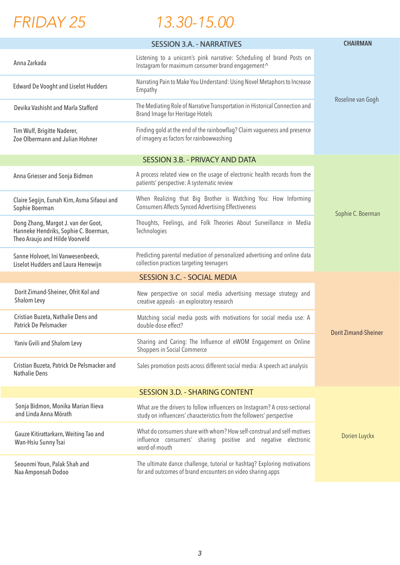# *FRIDAY 25*

 $\overline{a}$ 

# *13.30-15.00*

|                                                                                                               | <b>SESSION 3.A. - NARRATIVES</b>                                                                                                                         | <b>CHAIRMAN</b>             |
|---------------------------------------------------------------------------------------------------------------|----------------------------------------------------------------------------------------------------------------------------------------------------------|-----------------------------|
| Anna Zarkada                                                                                                  | Listening to a unicorn's pink narrative: Scheduling of brand Posts on<br>Instagram for maximum consumer brand engagement^                                |                             |
| <b>Edward De Vooght and Liselot Hudders</b>                                                                   | Narrating Pain to Make You Understand: Using Novel Metaphors to Increase<br>Empathy                                                                      |                             |
| Devika Vashisht and Marla Stafford                                                                            | The Mediating Role of Narrative Transportation in Historical Connection and<br><b>Brand Image for Heritage Hotels</b>                                    | Roseline van Gogh           |
| Tim Wulf, Brigitte Naderer,<br>Zoe Olbermann and Julian Hohner                                                | Finding gold at the end of the rainbowflag? Claim vagueness and presence<br>of imagery as factors for rainbowwashing                                     |                             |
|                                                                                                               | <b>SESSION 3.B. - PRIVACY AND DATA</b>                                                                                                                   |                             |
| Anna Griesser and Sonja Bidmon                                                                                | A process related view on the usage of electronic health records from the<br>patients' perspective: A systematic review                                  |                             |
| Claire Segijn, Eunah Kim, Asma Sifaoui and<br>Sophie Boerman                                                  | When Realizing that Big Brother is Watching You: How Informing<br><b>Consumers Affects Synced Advertising Effectiveness</b>                              | Sophie C. Boerman           |
| Dong Zhang, Margot J. van der Goot,<br>Hanneke Hendriks, Sophie C. Boerman,<br>Theo Araujo and Hilde Voorveld | Thoughts, Feelings, and Folk Theories About Surveillance in Media<br>Technologies                                                                        |                             |
| Sanne Holvoet, Ini Vanwesenbeeck,<br>Liselot Hudders and Laura Herrewijn                                      | Predicting parental mediation of personalized advertising and online data<br>collection practices targeting teenagers                                    |                             |
|                                                                                                               | <b>SESSION 3.C. - SOCIAL MEDIA</b>                                                                                                                       |                             |
| Dorit Zimand-Sheiner, Ofrit Kol and<br>Shalom Levy                                                            | New perspective on social media advertising message strategy and<br>creative appeals - an exploratory research                                           |                             |
| Cristian Buzeta, Nathalie Dens and<br>Patrick De Pelsmacker                                                   | Matching social media posts with motivations for social media use: A<br>double-dose effect?                                                              | <b>Dorit Zimand-Sheiner</b> |
| Yaniv Gvili and Shalom Levy                                                                                   | Sharing and Caring: The Influence of eWOM Engagement on Online<br>Shoppers in Social Commerce                                                            |                             |
| Cristian Buzeta, Patrick De Pelsmacker and<br><b>Nathalie Dens</b>                                            | Sales promotion posts across different social media: A speech act analysis                                                                               |                             |
| <b>SESSION 3.D. - SHARING CONTENT</b>                                                                         |                                                                                                                                                          |                             |
| Sonja Bidmon, Monika Marian Ilieva<br>and Linda Anna Mörath                                                   | What are the drivers to follow influencers on Instagram? A cross-sectional<br>study on influencers' characteristics from the followers' perspective      |                             |
| Gauze Kitirattarkarn, Weiting Tao and<br>Wan-Hsiu Sunny Tsai                                                  | What do consumers share with whom? How self-construal and self-motives<br>influence consumers' sharing positive and negative electronic<br>word-of-mouth | Dorien Luyckx               |
| Seounmi Youn, Palak Shah and<br>Naa Amponsah Dodoo                                                            | The ultimate dance challenge, tutorial or hashtag? Exploring motivations<br>for and outcomes of brand encounters on video sharing apps                   |                             |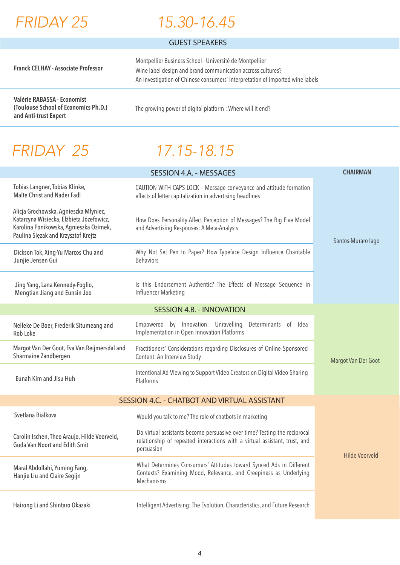

### *15.30-16.45*

#### GUEST SPEAKERS

| <b>Franck CELHAY - Associate Professor</b>                          | Montpellier Business School - Université de Montpellier<br>Wine label design and brand communication accross cultures?<br>An Investigation of Chinese consumers' interpretation of imported wine labels |  |
|---------------------------------------------------------------------|---------------------------------------------------------------------------------------------------------------------------------------------------------------------------------------------------------|--|
| Valérie RABASSA - Economist<br>(Toulouse School of Economics Ph.D.) | The growing power of digital platform : Where will it end?                                                                                                                                              |  |

*FRIDAY 25*

**and Anti-trust Expert**

# *17.15-18.15*

|                                                                                                                                                                    | <b>SESSION 4.A. - MESSAGES</b>                                                                                                                                        | <b>CHAIRMAN</b>     |
|--------------------------------------------------------------------------------------------------------------------------------------------------------------------|-----------------------------------------------------------------------------------------------------------------------------------------------------------------------|---------------------|
| Tobias Langner, Tobias Klinke,<br><b>Malte Christ and Nader Fadl</b>                                                                                               | CAUTION WITH CAPS LOCK - Message conveyance and attitude formation<br>effects of letter capitalization in advertising headlines                                       |                     |
| Alicja Grochowska, Agnieszka Młyniec,<br>Katarzyna Wisiecka, Elżbieta Józefowicz,<br>Karolina Ponikowska, Agnieszka Ozimek,<br>Paulina Ślęzak and Krzysztof Krejtz | How Does Personality Affect Perception of Messages? The Big Five Model<br>and Advertising Responses: A Meta-Analysis                                                  | Santos-Muraro lago  |
| Dickson Tok, Xing-Yu Marcos Chu and<br>Junjie Jensen Gui                                                                                                           | Why Not Set Pen to Paper? How Typeface Design Influence Charitable<br><b>Behaviors</b>                                                                                |                     |
| Jing Yang, Lana Kennedy-Foglio,<br>Mengtian Jiang and Eunsin Joo                                                                                                   | Is this Endorsement Authentic? The Effects of Message Sequence in<br>Influencer Marketing                                                                             |                     |
| <b>SESSION 4.B. - INNOVATION</b>                                                                                                                                   |                                                                                                                                                                       |                     |
| Nelleke De Boer, Frederik Situmeang and<br>Rob Loke                                                                                                                | Empowered by Innovation: Unravelling<br>Determinants of Idea<br>Implementation in Open Innovation Platforms                                                           |                     |
| Margot Van Der Goot, Eva Van Reijmersdal and<br>Sharmaine Zandbergen                                                                                               | Practitioners' Considerations regarding Disclosures of Online Sponsored<br>Content: An Interview Study                                                                | Margot Van Der Goot |
| Eunah Kim and Jisu Huh                                                                                                                                             | Intentional Ad-Viewing to Support Video Creators on Digital Video-Sharing<br>Platforms                                                                                |                     |
|                                                                                                                                                                    | SESSION 4.C. - CHATBOT AND VIRTUAL ASSISTANT                                                                                                                          |                     |
| Svetlana Bialkova                                                                                                                                                  | Would you talk to me? The role of chatbots in marketing                                                                                                               |                     |
| Carolin Ischen, Theo Araujo, Hilde Voorveld,<br><b>Guda Van Noort and Edith Smit</b>                                                                               | Do virtual assistants become persuasive over time? Testing the reciprocal<br>relationship of repeated interactions with a virtual assistant, trust, and<br>persuasion | Hilde Voorveld      |
| Maral Abdollahi, Yuming Fang,<br>Hanjie Liu and Claire Segijn                                                                                                      | What Determines Consumers' Attitudes toward Synced Ads in Different<br>Contexts? Examining Mood, Relevance, and Creepiness as Underlying<br>Mechanisms                |                     |
| Hairong Li and Shintaro Okazaki                                                                                                                                    | Intelligent Advertising: The Evolution, Characteristics, and Future Research                                                                                          |                     |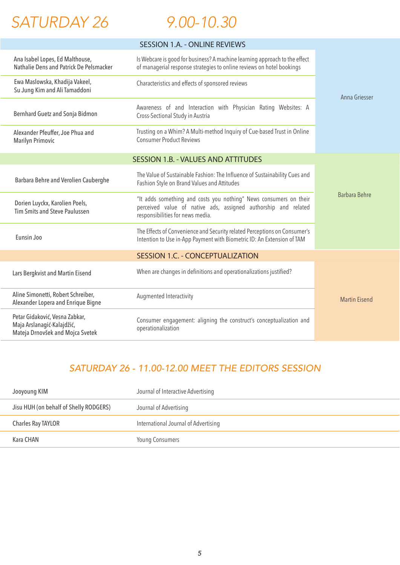

 $\overline{\phantom{a}}$ 

#### *9.00-10.30*

| <b>SESSION 1.A. - ONLINE REVIEWS</b>                                                             |                                                                                                                                                                         |                      |
|--------------------------------------------------------------------------------------------------|-------------------------------------------------------------------------------------------------------------------------------------------------------------------------|----------------------|
| Ana Isabel Lopes, Ed Malthouse,<br>Nathalie Dens and Patrick De Pelsmacker                       | Is Webcare is good for business? A machine learning approach to the effect<br>of managerial response strategies to online reviews on hotel bookings                     |                      |
| Ewa Maslowska, Khadija Vakeel,<br>Su Jung Kim and Ali Tamaddoni                                  | Characteristics and effects of sponsored reviews                                                                                                                        | Anna Griesser        |
| Bernhard Guetz and Sonja Bidmon                                                                  | Awareness of and Interaction with Physician Rating Websites: A<br>Cross-Sectional Study in Austria                                                                      |                      |
| Alexander Pfeuffer, Joe Phua and<br><b>Marilyn Primovic</b>                                      | Trusting on a Whim? A Multi-method Inquiry of Cue-based Trust in Online<br><b>Consumer Product Reviews</b>                                                              |                      |
|                                                                                                  | <b>SESSION 1.B. - VALUES AND ATTITUDES</b>                                                                                                                              |                      |
| Barbara Behre and Verolien Cauberghe                                                             | The Value of Sustainable Fashion: The Influence of Sustainability Cues and<br>Fashion Style on Brand Values and Attitudes                                               | <b>Barbara Behre</b> |
| Dorien Luyckx, Karolien Poels,<br>Tim Smits and Steve Paulussen                                  | "It adds something and costs you nothing" News consumers on their<br>perceived value of native ads, assigned authorship and related<br>responsibilities for news media. |                      |
| Eunsin Joo                                                                                       | The Effects of Convenience and Security related Perceptions on Consumer's<br>Intention to Use in-App Payment with Biometric ID: An Extension of TAM                     |                      |
| <b>SESSION 1.C. - CONCEPTUALIZATION</b>                                                          |                                                                                                                                                                         |                      |
| Lars Bergkvist and Martin Eisend                                                                 | When are changes in definitions and operationalizations justified?                                                                                                      |                      |
| Aline Simonetti, Robert Schreiber,<br>Alexander Lopera and Enrique Bigne                         | Augmented Interactivity                                                                                                                                                 | <b>Martin Eisend</b> |
| Petar Gidaković, Vesna Zabkar,<br>Maja Arslanagić-Kalajdžić,<br>Mateja Drnovšek and Mojca Svetek | Consumer engagement: aligning the construct's conceptualization and<br>operationalization                                                                               |                      |

#### *SATURDAY 26 - 11.00-12.00 MEET THE EDITORS SESSION*

| Jooyoung KIM                           | Journal of Interactive Advertising   |
|----------------------------------------|--------------------------------------|
| Jisu HUH (on behalf of Shelly RODGERS) | Journal of Advertising               |
| <b>Charles Ray TAYLOR</b>              | International Journal of Advertising |
| Kara CHAN                              | <b>Young Consumers</b>               |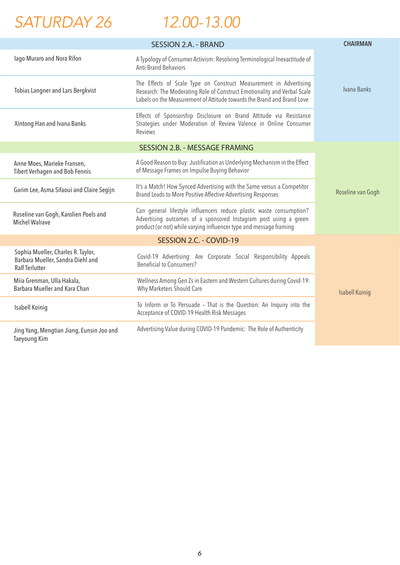*SATURDAY 26*

 *12.00-13.00*

|                                                                                                  | <b>SESSION 2.A. - BRAND</b>                                                                                                                                                                                             | <b>CHAIRMAN</b>       |
|--------------------------------------------------------------------------------------------------|-------------------------------------------------------------------------------------------------------------------------------------------------------------------------------------------------------------------------|-----------------------|
| lago Muraro and Nora Rifon                                                                       | A Typology of Consumer Activism: Resolving Terminological Inexactitude of<br><b>Anti-Brand Behaviors</b>                                                                                                                |                       |
| Tobias Langner and Lars Bergkvist                                                                | The Effects of Scale Type on Construct Measurement in Advertising<br>Research: The Moderating Role of Construct Emotionality and Verbal Scale<br>Labels on the Measurement of Attitude towards the Brand and Brand Love | Ivana Banks           |
| Xintong Han and Ivana Banks                                                                      | Effects of Sponsorship Disclosure on Brand Attitude via Resistance<br>Strategies under Moderation of Review Valence in Online Consumer<br>Reviews                                                                       |                       |
| <b>SESSION 2.B. - MESSAGE FRAMING</b>                                                            |                                                                                                                                                                                                                         |                       |
| Anne Moes, Marieke Fransen,<br><b>Tibert Verhagen and Bob Fennis</b>                             | A Good Reason to Buy: Justification as Underlying Mechanism in the Effect<br>of Message Frames on Impulse Buying Behavior                                                                                               |                       |
| Garim Lee, Asma Sifaoui and Claire Segijn                                                        | It's a Match! How Synced Advertising with the Same versus a Competitor<br>Brand Leads to More Positive Affective Advertising Responses                                                                                  | Roseline van Gogh     |
| Roseline van Gogh, Karolien Poels and<br><b>Michel Walrave</b>                                   | Can general lifestyle influencers reduce plastic waste consumption?<br>Advertising outcomes of a sponsored Instagram post using a green<br>product (or not) while varying influencer type and message framing           |                       |
| SESSION 2.C. - COVID-19                                                                          |                                                                                                                                                                                                                         |                       |
| Sophia Mueller, Charles R. Taylor,<br>Barbara Mueller, Sandra Diehl and<br><b>Ralf Terlutter</b> | Covid-19 Advertising: Are Corporate Social Responsibility Appeals<br><b>Beneficial to Consumers?</b>                                                                                                                    |                       |
| Miia Grenman, Ulla Hakala,<br>Barbara Mueller and Kara Chan                                      | Wellness Among Gen Zs in Eastern and Western Cultures during Covid-19:<br>Why Marketers Should Care                                                                                                                     | <b>Isabell Koinig</b> |
| Isabell Koinig                                                                                   | To Inform or To Persuade - That is the Question: An Inquiry into the<br>Acceptance of COVID-19 Health Risk Messages                                                                                                     |                       |
| Jing Yang, Mengtian Jiang, Eunsin Joo and<br><b>Taeyoung Kim</b>                                 | Advertising Value during COVID-19 Pandemic: The Role of Authenticity                                                                                                                                                    |                       |